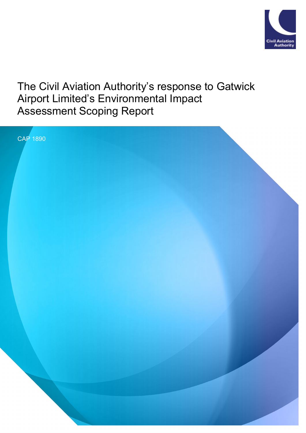

# The Civil Aviation Authority's response to Gatwick Airport Limited's Environmental Impact Assessment Scoping Report

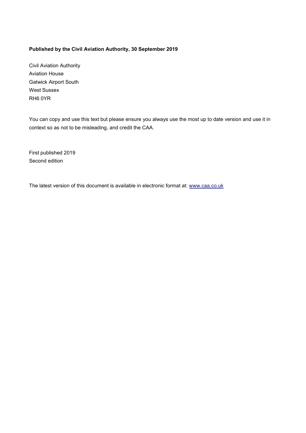#### **Published by the Civil Aviation Authority, 30 September 2019**

Civil Aviation Authority Aviation House Gatwick Airport South West Sussex RH6 0YR

You can copy and use this text but please ensure you always use the most up to date version and use it in context so as not to be misleading, and credit the CAA.

First published 2019 Second edition

The latest version of this document is available in electronic format at: www.caa.co.uk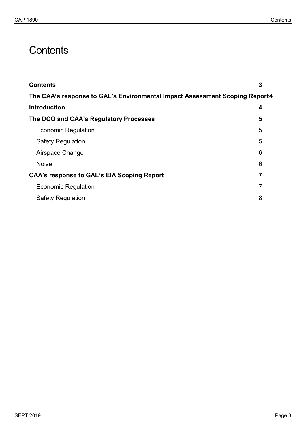# <span id="page-2-0"></span>**Contents**

| 3                                                                            |
|------------------------------------------------------------------------------|
| The CAA's response to GAL's Environmental Impact Assessment Scoping Report 4 |
| 4                                                                            |
| 5                                                                            |
| 5                                                                            |
| 5                                                                            |
| 6                                                                            |
| 6                                                                            |
|                                                                              |
| 7                                                                            |
| 8                                                                            |
|                                                                              |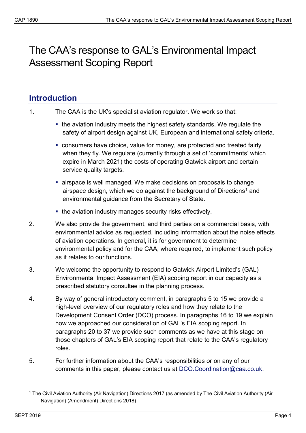# <span id="page-3-0"></span>The CAA's response to GAL's Environmental Impact Assessment Scoping Report

# <span id="page-3-1"></span>**Introduction**

| $\mathbf{1}$ . | The CAA is the UK's specialist aviation regulator. We work so that: |
|----------------|---------------------------------------------------------------------|
|----------------|---------------------------------------------------------------------|

- the aviation industry meets the highest safety standards. We regulate the safety of airport design against UK, European and international safety criteria.
- consumers have choice, value for money, are protected and treated fairly when they fly. We regulate (currently through a set of 'commitments' which expire in March 2021) the costs of operating Gatwick airport and certain service quality targets.
- airspace is well managed. We make decisions on proposals to change airspace design, which we do against the background of Directions<sup>1</sup> and environmental guidance from the Secretary of State.
- the aviation industry manages security risks effectively.
- 2. We also provide the government, and third parties on a commercial basis, with environmental advice as requested, including information about the noise effects of aviation operations. In general, it is for government to determine environmental policy and for the CAA, where required, to implement such policy as it relates to our functions.
- 3. We welcome the opportunity to respond to Gatwick Airport Limited's (GAL) Environmental Impact Assessment (EIA) scoping report in our capacity as a prescribed statutory consultee in the planning process.
- 4. By way of general introductory comment, in paragraphs 5 to 15 we provide a high-level overview of our regulatory roles and how they relate to the Development Consent Order (DCO) process. In paragraphs 16 to 19 we explain how we approached our consideration of GAL's EIA scoping report. In paragraphs 20 to 37 we provide such comments as we have at this stage on those chapters of GAL's EIA scoping report that relate to the CAA's regulatory roles.
- 5. For further information about the CAA's responsibilities or on any of our comments in this paper, please contact us at [DCO.Coordination@caa.co.uk.](mailto:DCO.Coordination@caa.co.uk)

<u>.</u>

<span id="page-3-2"></span><sup>1</sup> The Civil Aviation Authority (Air Navigation) Directions 2017 (as amended by The Civil Aviation Authority (Air Navigation) (Amendment) Directions 2018)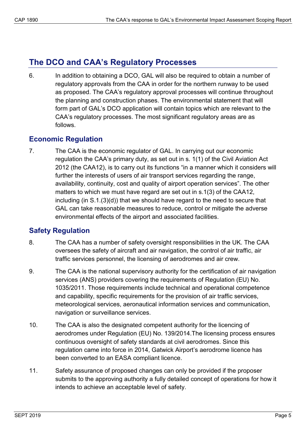# <span id="page-4-0"></span>**The DCO and CAA's Regulatory Processes**

6. In addition to obtaining a DCO, GAL will also be required to obtain a number of regulatory approvals from the CAA in order for the northern runway to be used as proposed. The CAA's regulatory approval processes will continue throughout the planning and construction phases. The environmental statement that will form part of GAL's DCO application will contain topics which are relevant to the CAA's regulatory processes. The most significant regulatory areas are as follows.

## <span id="page-4-1"></span>**Economic Regulation**

7. The CAA is the economic regulator of GAL. In carrying out our economic regulation the CAA's primary duty, as set out in s. 1(1) of the Civil Aviation Act 2012 (the CAA12), is to carry out its functions "in a manner which it considers will further the interests of users of air transport services regarding the range, availability, continuity, cost and quality of airport operation services". The other matters to which we must have regard are set out in s.1(3) of the CAA12, including (in S.1.(3)(d)) that we should have regard to the need to secure that GAL can take reasonable measures to reduce, control or mitigate the adverse environmental effects of the airport and associated facilities.

## <span id="page-4-2"></span>**Safety Regulation**

- 8. The CAA has a number of safety oversight responsibilities in the UK. The CAA oversees the safety of aircraft and air navigation, the control of air traffic, air traffic services personnel, the licensing of aerodromes and air crew.
- 9. The CAA is the national supervisory authority for the certification of air navigation services (ANS) providers covering the requirements of Regulation (EU) No. 1035/2011. Those requirements include technical and operational competence and capability, specific requirements for the provision of air traffic services, meteorological services, aeronautical information services and communication, navigation or surveillance services.
- 10. The CAA is also the designated competent authority for the licencing of aerodromes under Regulation (EU) No. 139/2014.The licensing process ensures continuous oversight of safety standards at civil aerodromes. Since this regulation came into force in 2014, Gatwick Airport's aerodrome licence has been converted to an EASA compliant licence.
- 11. Safety assurance of proposed changes can only be provided if the proposer submits to the approving authority a fully detailed concept of operations for how it intends to achieve an acceptable level of safety.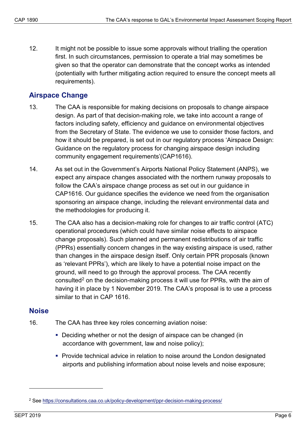12. It might not be possible to issue some approvals without trialling the operation first. In such circumstances, permission to operate a trial may sometimes be given so that the operator can demonstrate that the concept works as intended (potentially with further mitigating action required to ensure the concept meets all requirements).

## <span id="page-5-0"></span>**Airspace Change**

- 13. The CAA is responsible for making decisions on proposals to change airspace design. As part of that decision-making role, we take into account a range of factors including safety, efficiency and guidance on environmental objectives from the Secretary of State. The evidence we use to consider those factors, and how it should be prepared, is set out in our regulatory process 'Airspace Design: Guidance on the regulatory process for changing airspace design including community engagement requirements'(CAP1616).
- 14. As set out in the Government's Airports National Policy Statement (ANPS), we expect any airspace changes associated with the northern runway proposals to follow the CAA's airspace change process as set out in our guidance in CAP1616. Our guidance specifies the evidence we need from the organisation sponsoring an airspace change, including the relevant environmental data and the methodologies for producing it.
- 15. The CAA also has a decision-making role for changes to air traffic control (ATC) operational procedures (which could have similar noise effects to airspace change proposals). Such planned and permanent redistributions of air traffic (PPRs) essentially concern changes in the way existing airspace is used, rather than changes in the airspace design itself. Only certain PPR proposals (known as 'relevant PPRs'), which are likely to have a potential noise impact on the ground, will need to go through the approval process. The CAA recently consulted<sup>2</sup> on the decision-making process it will use for PPRs, with the aim of having it in place by 1 November 2019. The CAA's proposal is to use a process similar to that in CAP 1616.

### <span id="page-5-1"></span>**Noise**

- 16. The CAA has three key roles concerning aviation noise:
	- Deciding whether or not the design of airspace can be changed (in accordance with government, law and noise policy);
	- **Provide technical advice in relation to noise around the London designated** airports and publishing information about noise levels and noise exposure;

-

<span id="page-5-2"></span><sup>2</sup> See<https://consultations.caa.co.uk/policy-development/ppr-decision-making-process/>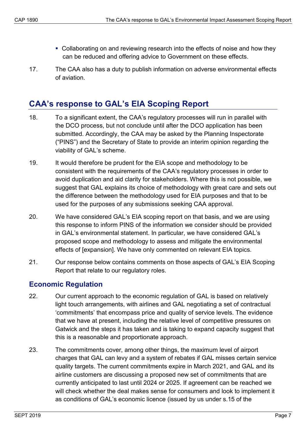- Collaborating on and reviewing research into the effects of noise and how they can be reduced and offering advice to Government on these effects.
- 17. The CAA also has a duty to publish information on adverse environmental effects of aviation.

## <span id="page-6-0"></span>**CAA's response to GAL's EIA Scoping Report**

- 18. To a significant extent, the CAA's regulatory processes will run in parallel with the DCO process, but not conclude until after the DCO application has been submitted. Accordingly, the CAA may be asked by the Planning Inspectorate ("PINS") and the Secretary of State to provide an interim opinion regarding the viability of GAL's scheme.
- 19. It would therefore be prudent for the EIA scope and methodology to be consistent with the requirements of the CAA's regulatory processes in order to avoid duplication and aid clarity for stakeholders. Where this is not possible, we suggest that GAL explains its choice of methodology with great care and sets out the difference between the methodology used for EIA purposes and that to be used for the purposes of any submissions seeking CAA approval.
- 20. We have considered GAL's EIA scoping report on that basis, and we are using this response to inform PINS of the information we consider should be provided in GAL's environmental statement. In particular, we have considered GAL's proposed scope and methodology to assess and mitigate the environmental effects of [expansion]. We have only commented on relevant EIA topics.
- 21. Our response below contains comments on those aspects of GAL's EIA Scoping Report that relate to our regulatory roles.

### <span id="page-6-1"></span>**Economic Regulation**

- 22. Our current approach to the economic regulation of GAL is based on relatively light touch arrangements, with airlines and GAL negotiating a set of contractual 'commitments' that encompass price and quality of service levels. The evidence that we have at present, including the relative level of competitive pressures on Gatwick and the steps it has taken and is taking to expand capacity suggest that this is a reasonable and proportionate approach.
- 23. The commitments cover, among other things, the maximum level of airport charges that GAL can levy and a system of rebates if GAL misses certain service quality targets. The current commitments expire in March 2021, and GAL and its airline customers are discussing a proposed new set of commitments that are currently anticipated to last until 2024 or 2025. If agreement can be reached we will check whether the deal makes sense for consumers and look to implement it as conditions of GAL's economic licence (issued by us under s.15 of the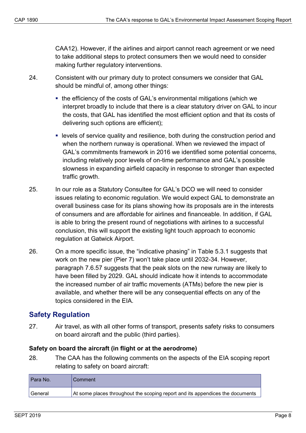CAA12). However, if the airlines and airport cannot reach agreement or we need to take additional steps to protect consumers then we would need to consider making further regulatory interventions.

- 24. Consistent with our primary duty to protect consumers we consider that GAL should be mindful of, among other things:
	- the efficiency of the costs of GAL's environmental mitigations (which we interpret broadly to include that there is a clear statutory driver on GAL to incur the costs, that GAL has identified the most efficient option and that its costs of delivering such options are efficient);
	- levels of service quality and resilience, both during the construction period and when the northern runway is operational. When we reviewed the impact of GAL's commitments framework in 2016 we identified some potential concerns, including relatively poor levels of on-time performance and GAL's possible slowness in expanding airfield capacity in response to stronger than expected traffic growth.
- 25. In our role as a Statutory Consultee for GAL's DCO we will need to consider issues relating to economic regulation. We would expect GAL to demonstrate an overall business case for its plans showing how its proposals are in the interests of consumers and are affordable for airlines and financeable. In addition, if GAL is able to bring the present round of negotiations with airlines to a successful conclusion, this will support the existing light touch approach to economic regulation at Gatwick Airport.
- 26. On a more specific issue, the "indicative phasing" in Table 5.3.1 suggests that work on the new pier (Pier 7) won't take place until 2032-34. However, paragraph 7.6.57 suggests that the peak slots on the new runway are likely to have been filled by 2029. GAL should indicate how it intends to accommodate the increased number of air traffic movements (ATMs) before the new pier is available, and whether there will be any consequential effects on any of the topics considered in the EIA.

### <span id="page-7-0"></span>**Safety Regulation**

27. Air travel, as with all other forms of transport, presents safety risks to consumers on board aircraft and the public (third parties).

#### **Safety on board the aircraft (in flight or at the aerodrome)**

28. The CAA has the following comments on the aspects of the EIA scoping report relating to safety on board aircraft:

| Para No.  | l Comment                                                                     |
|-----------|-------------------------------------------------------------------------------|
| l General | At some places throughout the scoping report and its appendices the documents |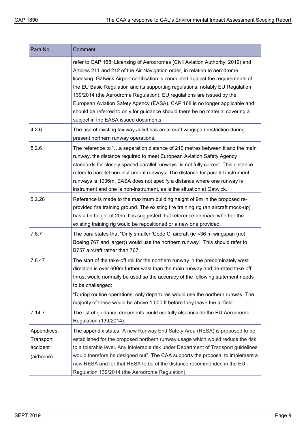| Para No.                                           | Comment                                                                                                                                                                                                                                                                                                                                                                                                                                                                                                                                                                                                               |
|----------------------------------------------------|-----------------------------------------------------------------------------------------------------------------------------------------------------------------------------------------------------------------------------------------------------------------------------------------------------------------------------------------------------------------------------------------------------------------------------------------------------------------------------------------------------------------------------------------------------------------------------------------------------------------------|
|                                                    | refer to CAP 168: Licensing of Aerodromes (Civil Aviation Authority, 2019) and<br>Articles 211 and 212 of the Air Navigation order, in relation to aerodrome<br>licensing. Gatwick Airport certification is conducted against the requirements of<br>the EU Basic Regulation and its supporting regulations, notably EU Regulation<br>139/2014 (the Aerodrome Regulation). EU regulations are issued by the<br>European Aviation Safety Agency (EASA). CAP 168 is no longer applicable and<br>should be referred to only for guidance should there be no material covering a<br>subject in the EASA issued documents. |
| 4.2.6                                              | The use of existing taxiway Juliet has an aircraft wingspan restriction during<br>present northern runway operations.                                                                                                                                                                                                                                                                                                                                                                                                                                                                                                 |
| 5.2.6                                              | The reference to "a separation distance of 210 metres between it and the main<br>runway, the distance required to meet European Aviation Safety Agency<br>standards for closely spaced parallel runways" is not fully correct. This distance<br>refers to parallel non-instrument runways. The distance for parallel instrument<br>runways is 1036m. EASA does not specify a distance where one runway is<br>instrument and one is non-instrument, as is the situation at Gatwick.                                                                                                                                    |
| 5.2.28                                             | Reference is made to the maximum building height of 9m in the proposed re-<br>provided fire training ground. The existing fire training rig (an aircraft mock-up)<br>has a fin height of 20m. It is suggested that reference be made whether the<br>existing training rig would be repositioned or a new one provided.                                                                                                                                                                                                                                                                                                |
| 7.8.7                                              | The para states that "Only smaller 'Code C' aircraft (ie <36 m wingspan (not<br>Boeing 767 and larger)) would use the northern runway". This should refer to<br>B757 aircraft rather than 767.                                                                                                                                                                                                                                                                                                                                                                                                                        |
| 7.8.47                                             | The start of the take-off roll for the northern runway in the predominately west<br>direction is over 600m further west than the main runway and de-rated take-off<br>thrust would normally be used so the accuracy of the following statement needs<br>to be challenged:<br>"During routine operations, only departures would use the northern runway. The<br>majority of these would be above 1,000 ft before they leave the airfield".                                                                                                                                                                             |
| 7.14.7                                             | The list of guidance documents could usefully also include the EU Aerodrome<br>Regulation (139/2014).                                                                                                                                                                                                                                                                                                                                                                                                                                                                                                                 |
| Appendices:<br>Transport<br>accident<br>(airborne) | The appendix states "A new Runway End Safety Area (RESA) is proposed to be<br>established for the proposed northern runway usage which would reduce the risk<br>to a tolerable level. Any intolerable risk under Department of Transport guidelines<br>would therefore be designed out". The CAA supports the proposal to implement a<br>new RESA and for that RESA to be of the distance recommended in the EU<br>Regulation 139/2014 (the Aerodrome Regulation).                                                                                                                                                    |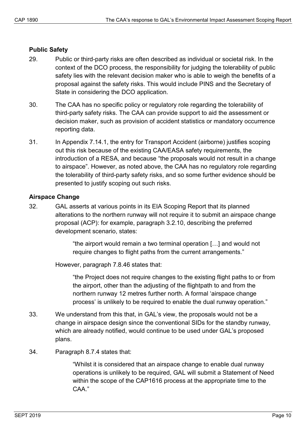#### **Public Safety**

- 29. Public or third-party risks are often described as individual or societal risk. In the context of the DCO process, the responsibility for judging the tolerability of public safety lies with the relevant decision maker who is able to weigh the benefits of a proposal against the safety risks. This would include PINS and the Secretary of State in considering the DCO application.
- 30. The CAA has no specific policy or regulatory role regarding the tolerability of third-party safety risks. The CAA can provide support to aid the assessment or decision maker, such as provision of accident statistics or mandatory occurrence reporting data.
- 31. In Appendix 7.14.1, the entry for Transport Accident (airborne) justifies scoping out this risk because of the existing CAA/EASA safety requirements, the introduction of a RESA, and because "the proposals would not result in a change to airspace". However, as noted above, the CAA has no regulatory role regarding the tolerability of third-party safety risks, and so some further evidence should be presented to justify scoping out such risks.

#### **Airspace Change**

32. GAL asserts at various points in its EIA Scoping Report that its planned alterations to the northern runway will not require it to submit an airspace change proposal (ACP): for example, paragraph 3.2.10, describing the preferred development scenario, states:

> "the airport would remain a two terminal operation […] and would not require changes to flight paths from the current arrangements."

However, paragraph 7.8.46 states that:

"the Project does not require changes to the existing flight paths to or from the airport, other than the adjusting of the flightpath to and from the northern runway 12 metres further north. A formal 'airspace change process' is unlikely to be required to enable the dual runway operation."

- 33. We understand from this that, in GAL's view, the proposals would not be a change in airspace design since the conventional SIDs for the standby runway, which are already notified, would continue to be used under GAL's proposed plans.
- 34. Paragraph 8.7.4 states that:

"Whilst it is considered that an airspace change to enable dual runway operations is unlikely to be required, GAL will submit a Statement of Need within the scope of the CAP1616 process at the appropriate time to the CAA."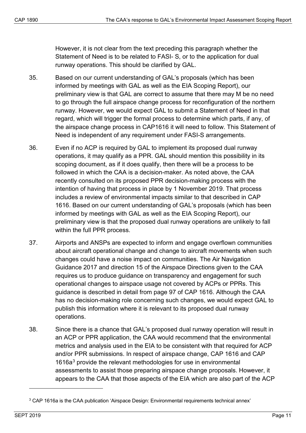However, it is not clear from the text preceding this paragraph whether the Statement of Need is to be related to FASI- S, or to the application for dual runway operations. This should be clarified by GAL.

- 35. Based on our current understanding of GAL's proposals (which has been informed by meetings with GAL as well as the EIA Scoping Report), our preliminary view is that GAL are correct to assume that there may M be no need to go through the full airspace change process for reconfiguration of the northern runway. However, we would expect GAL to submit a Statement of Need in that regard, which will trigger the formal process to determine which parts, if any, of the airspace change process in CAP1616 it will need to follow. This Statement of Need is independent of any requirement under FASI-S arrangements.
- 36. Even if no ACP is required by GAL to implement its proposed dual runway operations, it may qualify as a PPR. GAL should mention this possibility in its scoping document, as if it does qualify, then there will be a process to be followed in which the CAA is a decision-maker. As noted above, the CAA recently consulted on its proposed PPR decision-making process with the intention of having that process in place by 1 November 2019. That process includes a review of environmental impacts similar to that described in CAP 1616. Based on our current understanding of GAL's proposals (which has been informed by meetings with GAL as well as the EIA Scoping Report), our preliminary view is that the proposed dual runway operations are unlikely to fall within the full PPR process.
- 37. Airports and ANSPs are expected to inform and engage overflown communities about aircraft operational change and change to aircraft movements when such changes could have a noise impact on communities. The Air Navigation Guidance 2017 and direction 15 of the Airspace Directions given to the CAA requires us to produce guidance on transparency and engagement for such operational changes to airspace usage not covered by ACPs or PPRs. This guidance is described in detail from page 97 of CAP 1616. Although the CAA has no decision-making role concerning such changes, we would expect GAL to publish this information where it is relevant to its proposed dual runway operations.
- 38. Since there is a chance that GAL's proposed dual runway operation will result in an ACP or PPR application, the CAA would recommend that the environmental metrics and analysis used in the EIA to be consistent with that required for ACP and/or PPR submissions. In respect of airspace change, CAP 1616 and CAP 1616a<sup>3</sup> provide the relevant methodologies for use in environmental assessments to assist those preparing airspace change proposals. However, it appears to the CAA that those aspects of the EIA which are also part of the ACP

-

<span id="page-10-0"></span><sup>&</sup>lt;sup>3</sup> CAP 1616a is the CAA publication 'Airspace Design: Environmental requirements technical annex'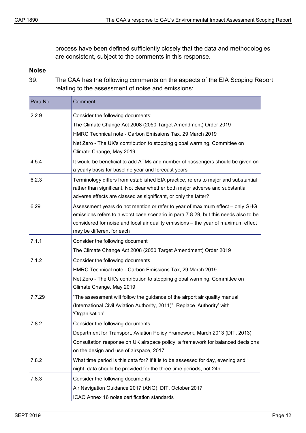process have been defined sufficiently closely that the data and methodologies are consistent, subject to the comments in this response.

#### **Noise**

39. The CAA has the following comments on the aspects of the EIA Scoping Report relating to the assessment of noise and emissions:

| Para No. | Comment                                                                                                                                                                                                                                                                                |
|----------|----------------------------------------------------------------------------------------------------------------------------------------------------------------------------------------------------------------------------------------------------------------------------------------|
| 2.2.9    | Consider the following documents:                                                                                                                                                                                                                                                      |
|          | The Climate Change Act 2008 (2050 Target Amendment) Order 2019                                                                                                                                                                                                                         |
|          | HMRC Technical note - Carbon Emissions Tax, 29 March 2019                                                                                                                                                                                                                              |
|          | Net Zero - The UK's contribution to stopping global warming, Committee on                                                                                                                                                                                                              |
|          | Climate Change, May 2019                                                                                                                                                                                                                                                               |
| 4.5.4    | It would be beneficial to add ATMs and number of passengers should be given on<br>a yearly basis for baseline year and forecast years                                                                                                                                                  |
| 6.2.3    | Terminology differs from established EIA practice, refers to major and substantial<br>rather than significant. Not clear whether both major adverse and substantial<br>adverse effects are classed as significant, or only the latter?                                                 |
| 6.29     | Assessment years do not mention or refer to year of maximum effect - only GHG<br>emissions refers to a worst case scenario in para 7.8.29, but this needs also to be<br>considered for noise and local air quality emissions - the year of maximum effect<br>may be different for each |
| 7.1.1    | Consider the following document<br>The Climate Change Act 2008 (2050 Target Amendment) Order 2019                                                                                                                                                                                      |
| 7.1.2    | Consider the following documents<br>HMRC Technical note - Carbon Emissions Tax, 29 March 2019<br>Net Zero - The UK's contribution to stopping global warming, Committee on<br>Climate Change, May 2019                                                                                 |
| 7.7.29   | "The assessment will follow the guidance of the airport air quality manual<br>(International Civil Aviation Authority, 2011)". Replace 'Authority' with<br>'Organisation'.                                                                                                             |
| 7.8.2    | Consider the following documents<br>Department for Transport, Aviation Policy Framework, March 2013 (DfT, 2013)<br>Consultation response on UK airspace policy: a framework for balanced decisions<br>on the design and use of airspace, 2017                                          |
| 7.8.2    | What time period is this data for? If it is to be assessed for day, evening and<br>night, data should be provided for the three time periods, not 24h                                                                                                                                  |
| 7.8.3    | Consider the following documents                                                                                                                                                                                                                                                       |
|          | Air Navigation Guidance 2017 (ANG), DfT, October 2017                                                                                                                                                                                                                                  |
|          | ICAO Annex 16 noise certification standards                                                                                                                                                                                                                                            |